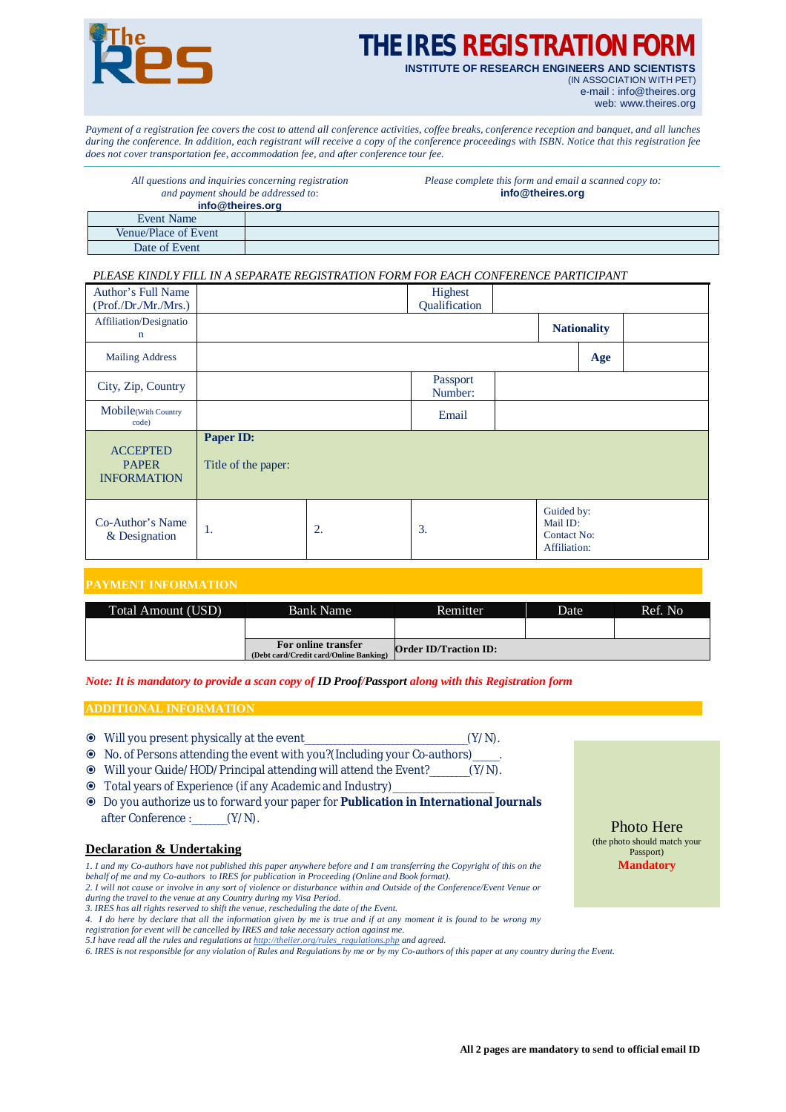

# **THE IRES REGISTRATION F**

**INSTITUTE OF RESEARCH ENGINEERS AND SCIENTISTS** (IN ASSOCIATION WITH PET) e-mail : [info@theires.org](mailto:info@theires.org)

web: [www.theires.org](http://www.theires.org)

*Payment of a registration fee covers the cost to attend all conference activities, coffee breaks, conference reception and banquet, and all lunches during the conference. In addition, each registrant will receive a copy of the conference proceedings with ISBN. Notice that this registration fee does not cover transportation fee, accommodation fee, and after conference tour fee.*

| All questions and inquiries concerning registration<br>and payment should be addressed to:<br>info@theires.org |  | Please complete this form and email a scanned copy to:<br>info@theires.org |  |  |  |  |
|----------------------------------------------------------------------------------------------------------------|--|----------------------------------------------------------------------------|--|--|--|--|
| Event Name                                                                                                     |  |                                                                            |  |  |  |  |
| Venue/Place of Event                                                                                           |  |                                                                            |  |  |  |  |
| Date of Event                                                                                                  |  |                                                                            |  |  |  |  |

### *PLEASE KINDLY FILL IN A SEPARATE REGISTRATION FORM FOR EACH CONFERENCE PARTICIPANT*

| Author's Full Name<br>(Prof./Dr./Mr./Mrs.)            |                                  |    | Highest<br>Qualification |                                                              |     |  |
|-------------------------------------------------------|----------------------------------|----|--------------------------|--------------------------------------------------------------|-----|--|
| Affiliation/Designatio<br>$\mathbf n$                 |                                  |    |                          | <b>Nationality</b>                                           |     |  |
| <b>Mailing Address</b>                                |                                  |    |                          |                                                              | Age |  |
| City, Zip, Country                                    |                                  |    | Passport<br>Number:      |                                                              |     |  |
| Mobile(With Country<br>code)                          |                                  |    | Email                    |                                                              |     |  |
| <b>ACCEPTED</b><br><b>PAPER</b><br><b>INFORMATION</b> | Paper ID:<br>Title of the paper: |    |                          |                                                              |     |  |
| Co-Author's Name<br>& Designation                     | 1.                               | 2. | 3.                       | Guided by:<br>Mail ID:<br><b>Contact No:</b><br>Affiliation: |     |  |

## **PAYMENT INFORMATION**

| Total Amount (USD) | Bank Name                                                     | Remitter.                    | Date | Ref. No |  |
|--------------------|---------------------------------------------------------------|------------------------------|------|---------|--|
|                    |                                                               |                              |      |         |  |
|                    | For online transfer<br>(Debt card/Credit card/Online Banking) | <b>Order ID/Traction ID:</b> |      |         |  |

*Note: It is mandatory to provide a scan copy of ID Proof/Passport along with this Registration form*

### **ADDITIONAL INFORMATION**

- Will you present physically at the event\_\_\_\_\_\_\_\_\_\_\_\_\_\_\_\_\_\_\_\_\_\_\_\_\_\_\_\_\_\_\_\_\_\_\_\_\_(Y/N).
- No. of Persons attending the event with you?(Including your Co-authors)\_\_\_\_\_\_.
- Will your Guide/HOD/Principal attending will attend the Event?\_\_\_\_\_\_\_\_\_(Y/N).
- Total years of Experience (if any Academic and Industry)\_\_\_\_\_\_\_\_\_\_\_\_\_\_\_\_\_\_\_\_\_\_\_
- Do you authorize us to forward your paper for **Publication in International Journals** after Conference : (Y/N).

#### **Declaration & Undertaking**

*1. I and my Co-authors have not published this paper anywhere before and I am transferring the Copyright of this on the behalf of me and my Co-authors to IRES for publication in Proceeding (Online and Book format). 2. I will not cause or involve in any sort of violence or disturbance within and Outside of the Conference/Event Venue or* 

- *during the travel to the venue at any Country during my Visa Period. 3. IRES has all rights reserved to shift the venue, rescheduling the date of the Event.*
- *4. I do here by declare that all the information given by me is true and if at any moment it is found to be wrong my registration for event will be cancelled by IRES and take necessary action against me.*
- *5.I have read all the rules and regulations at [http://theiier.org/rules\\_regulations.php](http://theiier.org/rules_regulations.php) and agreed.*

*6. IRES is not responsible for any violation of Rules and Regulations by me or by my Co-authors of this paper at any country during the Event.*

Photo Here (the photo should match your Passport) **Mandatory**